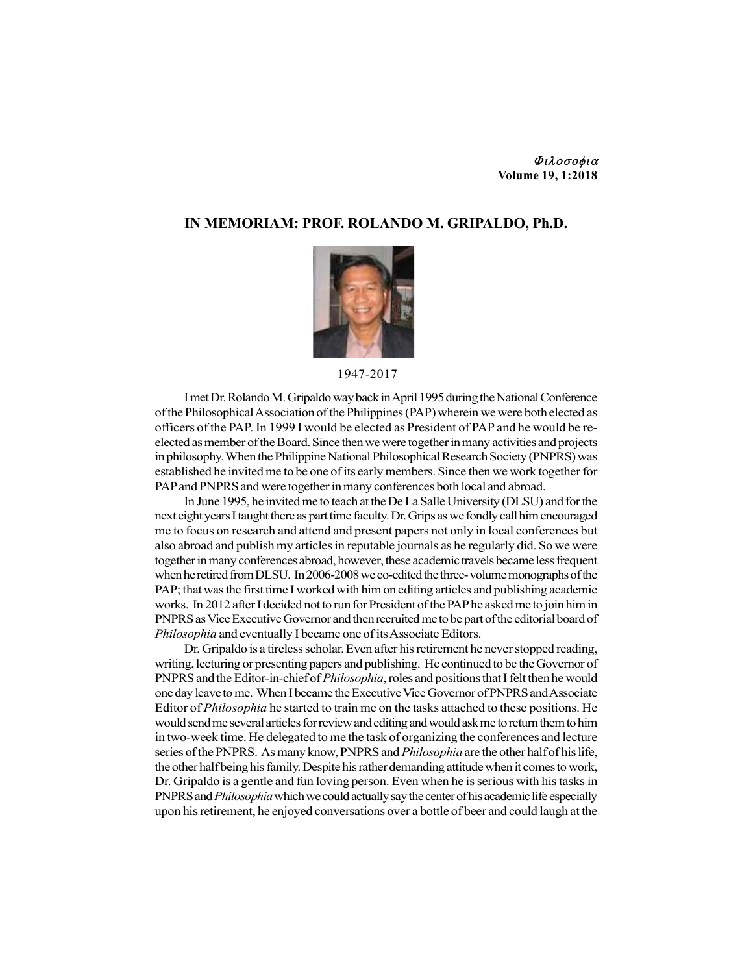## Φιλοσοφια Volume 19, 1:2018

## IN MEMORIAM: PROF. ROLANDO M. GRIPALDO, Ph.D.



## 1947-2017

I met Dr. Rolando M. Gripaldo way back in April 1995 during the National Conference of the Philosophical Association of the Philippines (PAP) wherein we were both elected as officers of the PAP. In 1999 I would be elected as President of PAP and he would be reelected as member of the Board. Since then we were together in many activities and projects in philosophy. When the Philippine National Philosophical Research Society (PNPRS) was established he invited me to be one of its early members. Since then we work together for PAP and PNPRS and were together in many conferences both local and abroad.

In June 1995, he invited me to teach at the De La Salle University (DLSU) and for the next eight years I taught there as part time faculty. Dr. Grips as we fondly call him encouraged me to focus on research and attend and present papers not only in local conferences but also abroad and publish my articles in reputable journals as he regularly did. So we were together in many conferences abroad, however, these academic travels became less frequent when he retired from DLSU. In 2006-2008 we co-edited the three- volume monographs of the PAP; that was the first time I worked with him on editing articles and publishing academic works. In 2012 after I decided not to run for President of the PAP he asked me to join him in PNPRS as Vice Executive Governor and then recruited me to be part of the editorial board of Philosophia and eventually I became one of its Associate Editors.

Dr. Gripaldo is a tireless scholar. Even after his retirement he never stopped reading, writing, lecturing or presenting papers and publishing. He continued to be the Governor of PNPRS and the Editor-in-chief of Philosophia, roles and positions that I felt then he would one day leave to me. When I became the Executive Vice Governor of PNPRS and Associate Editor of Philosophia he started to train me on the tasks attached to these positions. He would send me several articles for review and editing and would ask me to return them to him in two-week time. He delegated to me the task of organizing the conferences and lecture series of the PNPRS. As many know, PNPRS and *Philosophia* are the other half of his life, the other half being his family. Despite his rather demanding attitude when it comes to work, Dr. Gripaldo is a gentle and fun loving person. Even when he is serious with his tasks in PNPRS and *Philosophia* which we could actually say the center of his academic life especially upon his retirement, he enjoyed conversations over a bottle of beer and could laugh at the